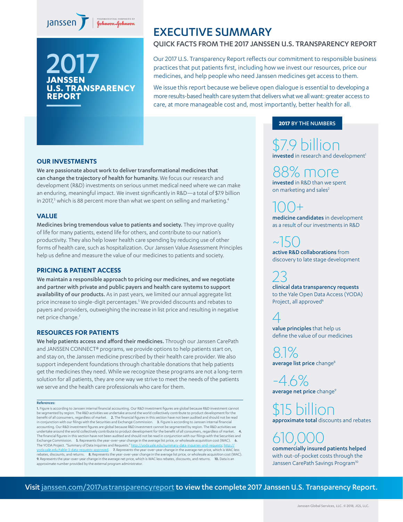



## EXECUTIVE SUMMARY

## QUICK FACTS FROM THE 2017 JANSSEN U.S. TRANSPARENCY REPORT

Our 2017 U.S. Transparency Report reflects our commitment to responsible business practices that put patients first, including how we invest our resources, price our medicines, and help people who need Janssen medicines get access to them.

We issue this report because we believe open dialogue is essential to developing a more results-based health care system that delivers what we all want: greater access to care, at more manageable cost and, most importantly, better health for all.

### **2017** BY THE NUMBERS

\$7.9 billion invested in research and development<sup>1</sup>

88% more invested in R&D than we spent

on marketing and sales<sup>2</sup>

 $100+$ medicine candidates in development as a result of our investments in R&D

 $~150$ active R&D collaborations from discovery to late stage development

23 clinical data transparency requests to the Yale Open Data Access (YODA) Project, all approved<sup>6</sup>

4 value principles that help us define the value of our medicines

8.1% average list price change<sup>8</sup>

-4.6% average net price change<sup>9</sup>

\$15 billion approximate total discounts and rebates

610,000 commercially insured patients helped with out-of-pocket costs through the Janssen CarePath Savings Program<sup>10</sup>

#### **OUR INVESTMENTS**

We are passionate about work to deliver transformational medicines that can change the trajectory of health for humanity. We focus our research and development (R&D) investments on serious unmet medical need where we can make an enduring, meaningful impact. We invest significantly in R&D—a total of \$7.9 billion in 2017,<sup>3</sup> which is 88 percent more than what we spent on selling and marketing.<sup>4</sup>

#### **VALUE**

Medicines bring tremendous value to patients and society. They improve quality of life for many patients, extend life for others, and contribute to our nation's productivity. They also help lower health care spending by reducing use of other forms of health care, such as hospitalization. Our Janssen Value Assessment Principles help us define and measure the value of our medicines to patients and society.

#### **PRICING & PATIENT ACCESS**

We maintain a responsible approach to pricing our medicines, and we negotiate and partner with private and public payers and health care systems to support availability of our products. As in past years, we limited our annual aggregate list price increase to single-digit percentages.<sup>5</sup> We provided discounts and rebates to payers and providers, outweighing the increase in list price and resulting in negative net price change.<sup>7</sup>

#### **RESOURCES FOR PATIENTS**

We help patients access and afford their medicines. Through our Janssen CarePath and JANSSEN CONNECT® programs, we provide options to help patients start on, and stay on, the Janssen medicine prescribed by their health care provider. We also support independent foundations through charitable donations that help patients get the medicines they need. While we recognize these programs are not a long-term solution for all patients, they are one way we strive to meet the needs of the patients we serve and the health care professionals who care for them.

#### References:

1. Figure is according to Janssen internal financial accounting. Our R&D investment figures are global because R&D investment cannot be segmented by region. The R&D activities we undertake around the world collectively contribute to product development for the<br>benefit of all consumers, regardless of market. **2.** The financial figures in this section in conjunction with our filings with the Securities and Exchange Commission. **3.** Figure is according to Janssen internal financial<br>accounting. Our R&D investment figures are global because R&D investment cannot be seg undertake around the world collectively contribute to product development for the benefit of all consumers, regardless of market. 4. The financial figures in this section have not been audited and should not be read in conjunction with our filings with the Securities and Exchange Commission. 5. Represents the year-over-year change in the average list price, or wholesale acquisition cost (WAC). 6. The YODA Project. "Summary of Data Inquiries and Requests." [http://](http://yoda.yale.edu/table-3-data-requests-approved) <u>yoda.yale.edu/table-3-data-requests-approved</u>. **7.** Represents the year-over-year change in the average net price, which is WAC less<br>rebates, discounts, and returns. **8.** Represents the year-over-year change in the averag 9. Represents the year-over-year change in the average net price, which is WAC less rebates, discounts, and returns. 10. Data is an approximate number provided by the external program administrator.

Visit [janssen.com/2017ustransparencyreport](http://janssen.com/2017ustransparencyreport) to view the complete 2017 Janssen U.S. Transparency Report.